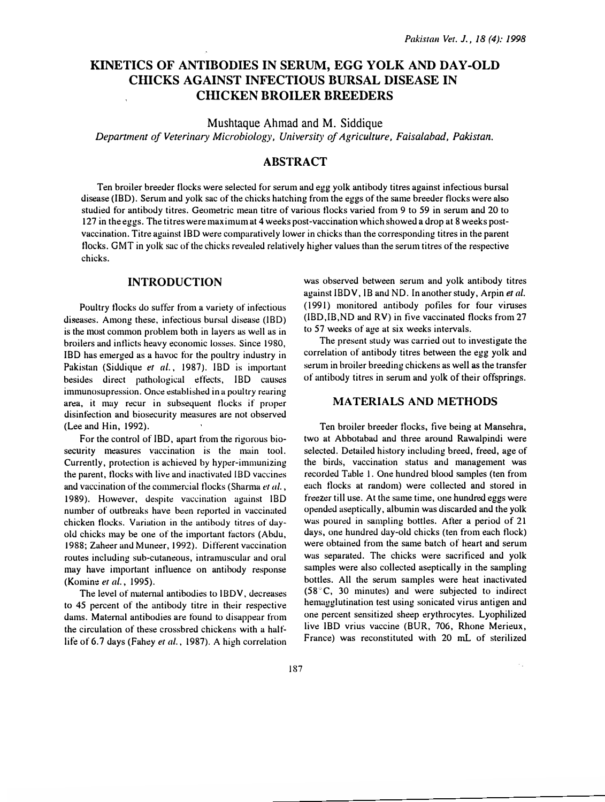# KINETICS OF ANTIBODIES IN SERUM, EGG YOLK AND DAY-OLD CHICKS AGAINST INFECTIOUS BURSAL DISEASE IN **CHICKEN BROILER BREEDERS**

Mushtaque Ahmad and M. Siddique

Department of Veterinary Microbiology, University of Agriculture, Faisalabad, Pakistan.

## ABSTRACT

Ten broiler breeder flocks were selected for serum and egg yolk antibody titres against infectious bursal disease (IBD). Serum and yolk sac of the chicks hatching from the eggs of the same breeder flocks were also studied for antibody titres. Geometric mean titre of various flocks varied from 9 to 59 in serum and 20 to 127 in the eggs. The titres were maximum at 4 weeks post-vaccination which showed a drop at 8 weeks postvaccination. Titre against IBD were comparatively lower in chicks than the corresponding titres in the parent tlocks. GMT in y<sup>o</sup>lk sac of the chicks rev<sup>e</sup>aled relatively higher values than the serum titres of the respective chicks.

## INTRODUCTION

Poultry flocks do suffer from a variety of infectious diseases. Among these, infectious bursal disease (180) is the most common problem both in layers as wdl as in broilers and inflicts heavy economic losses. Since 1980, IBD has emerged as a havoc for the poultry industry in Pakistan (Siddique et al., 1987). IBD is important besides direct puthological effects, IBD causes immunosupression. Once established in a poultry rearing area, it may recur in subsequent flocks if proper disinfection and biosecurity meusures are not observed (Lee and Hin, 1992).

For the control of IBD, apart from the rigorous biosecurity measures vaccination is the main tool. Currently, protection is achieved by hyper-immunizing the parent, flocks with live and inactivated JBD vaccines and vaccination of the commercial flocks (Sharma et al., 1989). However, despite vaccination against IBD number of outbreaks have been reported in vaccinated chicken flocks. Variation in the antibody titres of dayold chicks may be one of the important factors (Abdu, 1988; Zaheer and Muneer, 1992). Different vaccination routes including sub-cutaneous, intramuscular and oral may have important influence on antibody response (Komine et al., 1995).

The level of maternal antibodies to IBDV, decreases to 45 percent of the antibody titre in their respective dams. Maternal antibodies are found to disappear from the circulation of these crossbred chickens with a halflife of 6.7 days (Fahey et al., 1987). A high correlation was observed between serum and yolk antibody titres against IBDV, lB and NO. In another study, Arpin et al. (1991) monitored antibody pofiles for four viruses (IBD,IB,ND and RV) in five vaccinated flocks from 27 to 57 weeks of age at six weeks intervals.

The present study was carried out to investigate the correlation of antibody titres between the egg yolk and serum in broiler breeding chickens as well as the transfer of antibody titres in serum and yolk of their offsprings.

#### MATERIALS AND METHODS

Ten broiler breeder flocks, five being at Mansehra, two at Abbotabad and three around Rawalpindi were selected. Detailed history including breed, freed, age of the birds, vaccination status and management was recorded Table I. One hundred blood samples (ten from each flocks at random) were collected and stored in freezer till use. At the same time, one hundred eggs were opended usepticully, albumin was discarded and the yolk was poured in sampling bottles. After a period of 21 days, one hundred day-old chicks (ten from each flock) were obtained from the same batch of heart and serum was separated. The chicks were sacrificed and yolk samples were also collected aseptically in the sampling bottles. All the serum samples were heat inactivated (58°C, 30 minutes) and were subjected to indirect hemagglutination test using sonicated virus antigen and one percent sensitized sheep erythrocytes. Lyophilized live IBD vrius vaccine (BUR, 706, Rhone Merieux, France) was reconstituted with 20 mL of sterilized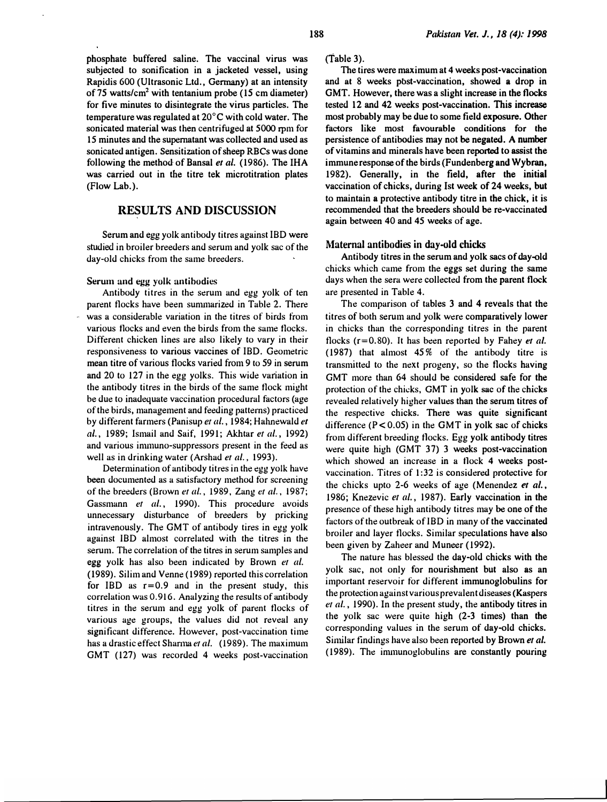phosphate buffered saline. The vaccinal virus was subjected to sonification in a jacketed vessel, using Rapidis 600 (Ultrasonic Ltd., Germany) at an intensity of 75 watts/ $cm<sup>2</sup>$  with tentanium probe (15 cm diameter) for five minutes to disintegrate the virus particles. The temperature was regulated at 20°C with cold water. The sonicated material was then centrifuged at 5000 rpm for 15 minutes and the supernatant was collected and used as sonicated antigen. Sensitization of sheep RBCs was done following the method of Bansal et al. (1986). The IHA was carried out in the titre tek microtitration plates (Flow Lab.).

## RESULTS AND DISCUSSION

Serum and egg yolk antibody titres against lBO were studied in broiler breeders and serum and yolk sac of the day-old chicks from the same breeders.

#### Serum and egg yolk antibodies

Antibody titres in the serum and egg yolk of ten parent flocks have been sununarized in Table 2. There was a considerable variation in the titres of birds from various flocks and even the birds from the same flocks. Different chicken lines are also likely to vary in their responsiveness to various vaccines of lBO. Geometric mean titre of various flocks varied from 9 to 59 in serum and 20 to 127 in the egg yolks. This wide variation in the antibody titres in the birds of the same flock might be due to inadequate vaccination procedural factors (age of the birds, management and feeding patterns) practiced by different farmers (Panisup et al., 1984; Hahnewald et al., 1989; Ismail and Saif, 1991; Akhtar et al., 1992) and various inununo-suppressors present in the feed as well as in drinking water (Arshad et al., 1993).

Determination of antibody titres in the egg yolk have been documented as a satisfactory method for screening of the breeders (Brown et al., 1989, Zang et al., 1987; Gassmann et al., 1990). This procedure avoids unnecessary disturbance of breeders by pricking intravenously. The GMT of antibody tires in egg yolk against IBD almost correlated with the titres in the serum. The correlation of the titres in serum samples and egg yolk has also been indicated by Brown et al. (1989). Silim and Venne (1989) reported this correlation for IBD as  $r=0.9$  and in the present study, this correlation was 0. 916. Analyzing the results of antibody titres in the serum and egg yolk of parent flocks of various age groups, the values did not reveal any significant difference. However, post-vaccination time has a drastic effect Sharma et al. (1989). The maximum GMT (127) was recorded 4 weeks post-vaccination

(Table 3).

The tires were maximum at 4 weeks post-vaccination and at 8 weeks pbst-vaccination, showed a drop in GMT. However, there was a slight increase in the flocks tested 12 and 42 weeks post-vaccination. This increase most probably may be due to some field exposure. Other factors like most favourable conditions for the persistence of antibodies may not be negated. A number of vitamins and minerals have been reported to assist the immune response of the birds (Fundenberg and Wybran, 1982). Generally, in the field, after the initial vaccination of chicks, during 1st week of 24 weeks, but to maintain a protective antibody titre in the chick, it is recommended that the breeders should be re-vaccinated again between 40 and 45 weeks of age.

#### Maternal antibodies in day-old chicks

Antibody titres in the serum and yolk sacs of day-old chicks which came from the eggs set during the same days when the sera were collected from the parent flock are presented in Table 4.

The comparison of tables 3 and 4 reveals that the titres of both serum and yolk were comparatively lower in chicks than the corresponding titres in the parent flocks ( $r=0.80$ ). It has been reported by Fahey et al. (1987) that almost 45% of the antibody titre is transmitted to the next progeny, so the flocks having GMT more than 64 should be considered safe for the protection of the chicks, GMT in yolk sac of the chicks revealed relatively higher values than the serum titres of the respective chicks. There was quite signiticant difference  $(P < 0.05)$  in the GMT in yolk sac of chicks from different breeding flocks. Egg yolk antibody titres were quite high (GMT 37) 3 weeks post-vaccination which showed an increase in a flock 4 weeks postvaccination. Titres of 1:32 is considered protective for the chicks upto 2-6 weeks of age (Menendez et al., 1986; Knezevic et al., 1987). Early vaccination in the presence of these high antibody titres may be one of the factors of the outbreak of IBD in many of the vaccinated broiler and layer flocks. Similar speculations have also been given by Zaheer and Muneer (1992).

The nature has blessed the day-old chicks with the yolk sac, not only for nourishment but also as an important reservoir for different immunoglobulins for the protection against various prevalent diseases (Kaspers et al., 1990). In the present study, the antibody titres in the yolk sac were quite high (2-3 times) than the corresponding values in the serum of day-old chicks. Similar findings have also been reported by Brown et al. (1989). The inununoglobulins are constantly pouring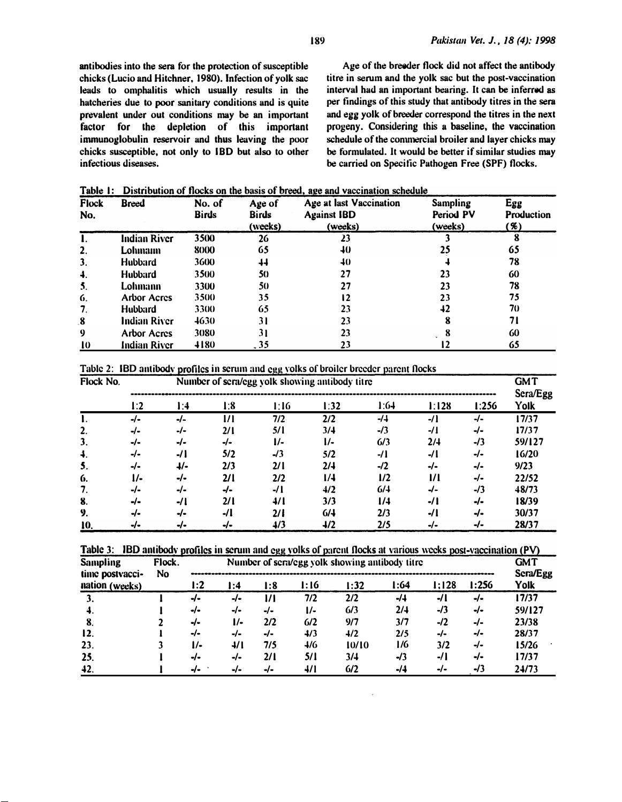antibodies into the sera for the protection of susceptible chicks (Lucio and Hitchner, 1980). Infection of yolk sac leads to omphalitis which usually results in the hatcheries due to poor sanitary conditions and is quite prevalent under out conditions may be an important factor for the depletion of this important immunoglobulin reservoir and thus leaving the poor chicks susceptible, not only to IBD but also to other infectious diseases.

Age of the breeder flock did not affect the antibody titre in serum and the yolk sac but the post-vaccination interval had an important bearing. It can be inferred as per findings of this study that antibody titres in the sera and egg yolk of breeder correspond the titres in the next progeny. Considering this a baseline, the vaccination schedule of the commercial broiler and layer chicks may be formulated. It would be better if similar studies may be carried on Specific Pathogen Free (SPF) flocks.

Table 1: Distribution of flocks on the basis of breed, age and vaccination schedule

| <b>Flock</b><br>No. | <b>Breed</b>        | No. of<br><b>Birds</b> | Age of<br><b>Birds</b><br>(weeks) | Age at last Vaccination<br><b>Against IBD</b><br>(weeks) | <b>Sampling</b><br>Period PV<br>(weeks) | Egg<br>Production<br>'%) |  |
|---------------------|---------------------|------------------------|-----------------------------------|----------------------------------------------------------|-----------------------------------------|--------------------------|--|
|                     | <b>Indian River</b> | 3500                   | 26                                | 23                                                       |                                         |                          |  |
| 2.                  | Lohmann             | 8000                   | 65                                | 40                                                       | 25                                      | 65                       |  |
| 3.                  | <b>Hubbard</b>      | 3600                   | 44                                | 40                                                       |                                         | 78                       |  |
| $\ddot{ }$          | <b>Hubbard</b>      | 3500                   | 50                                | 27                                                       | 23                                      | 60                       |  |
| 5.                  | Lohmann             | 3300                   | 50                                | 27                                                       | 23                                      | 78                       |  |
| 6.                  | <b>Arbor Acres</b>  | 3500                   | 35                                | 12                                                       | 23                                      | 75                       |  |
| 7.                  | <b>Hubbard</b>      | 3300                   | 65                                | 23                                                       | 42                                      | 70                       |  |
| 8                   | Indian River        | 4630                   | 31                                | 23                                                       | 8                                       | 71                       |  |
| 9                   | <b>Arbor Acres</b>  | 3080                   | 31                                | 23                                                       |                                         | 60                       |  |
| 10                  | <b>Indian River</b> | 4180                   | . 35                              | 23                                                       | 12                                      | 65                       |  |

Table 2: IBD antibody profiles in serum and egg yolks of broiler breeder parent flocks

| Flock No.    | Number of sera/egg yolk showing antibody titre |        |        |       |      |       |              |       |                  |  |
|--------------|------------------------------------------------|--------|--------|-------|------|-------|--------------|-------|------------------|--|
|              | l:2                                            | l:4    | l:8    | 1:16  | 1:32 | 1:64  | 1:128        | 1:256 | Sera/Egg<br>Yolk |  |
|              | -/-                                            | $-I -$ | 1/1    | 7/2   | 2/2  | -/4   | $-I1$        | -/-   | 17/37            |  |
| $\mathbf{2}$ | -/-                                            | -/-    | 2/1    | 5/1   | 3/4  | $-13$ | -/1          | -∕-   | 17/37            |  |
| 3.           | -/-                                            | -/∙    | -/∙    | l/-   | l/-  | 6/3   | 2/4          | -/3   | 59/127           |  |
| $\ddot{ }$ . | -/∙                                            | -/1    | 5/2    | $-13$ | 5/2  | -/1   | -/1          | -/-   | 16/20            |  |
| 5.           | -/∙                                            | 4/-    | 2/3    | 2/1   | 2/4  | -/2   | -/-          | -/-   | 9/23             |  |
| 6.           | "                                              | -/∙    | 2/1    | 2/2   | 1/4  | 1/2   | $\mathbf{u}$ | -/-   | 22/52            |  |
| 7.           | -/-                                            | -/-    | -/-    | -/1   | 4/2  | 6/4   | -/-          | $-13$ | 48/73            |  |
| 8.           | -/∙                                            | -/1    | 2/1    | 4/1   | 3/3  | 1/4   | -/1          | -/-   | 18/39            |  |
| 9.           | -/∙                                            | $-I -$ | $-I1$  | 2/1   | 6/4  | 2/3   | -/1          | -/-   | 30/37            |  |
| 10.          | •/∙                                            | -/∙    | $-I -$ | 4/3   | 4/2  | 2/5   | -/∙          | -/-   | 28/37            |  |

|  |  |  | Table 3: IBD antibody profiles in serum and egg yolks of parent flocks at various weeks post-vaccination (PV) |  |
|--|--|--|---------------------------------------------------------------------------------------------------------------|--|
|  |  |  |                                                                                                               |  |
|  |  |  |                                                                                                               |  |

| <b>Sampling</b><br>time postvacci- | Flock.<br>Number of sera/egg yolk showing antibody titre<br>No. |               |               |        |               |       |       | GMT<br>Sera/Egg |       |        |
|------------------------------------|-----------------------------------------------------------------|---------------|---------------|--------|---------------|-------|-------|-----------------|-------|--------|
| nation (weeks)                     |                                                                 | l:2           | l:4           | l:8    | I: 16         | 1:32  | l:64  | l:128           | 1:256 | Yolk   |
| 3.                                 |                                                                 | -/-           | -/-           | "      | 7/2           | 2/2   | $-14$ | -/1             | -/∙   | 17/37  |
| -4.                                |                                                                 | •/∙           | -/-           | -/-    | $\frac{1}{2}$ | 6/3   | 2/4   | $-13$           | -/∙   | 59/127 |
| -8.                                |                                                                 | -/∙           | $\frac{1}{2}$ | 2/2    | 6/2           | 9/7   | 3/7   | $-I2$           | -/-   | 23/38  |
| 12.                                |                                                                 | -/-           | -∕-           | $-I -$ | 4/3           | 4/2   | 2/5   | -/-             | -/-   | 28/37  |
| 23.                                |                                                                 | $\frac{1}{2}$ | 4/1           | 7/5    | 4/6           | 10/10 | 1/6   | 3/2             | -/-   | 15/26  |
| 25.                                |                                                                 | -/∙           | -/-           | 2/1    | 5/1           | 3/4   | $-13$ | -/1             | -/-   | 17/37  |
| 42.                                |                                                                 | $J_{\bullet}$ | -/-           | -/-    | 4/1           | 6/2   | $-14$ | -/-             | $-13$ | 24/73  |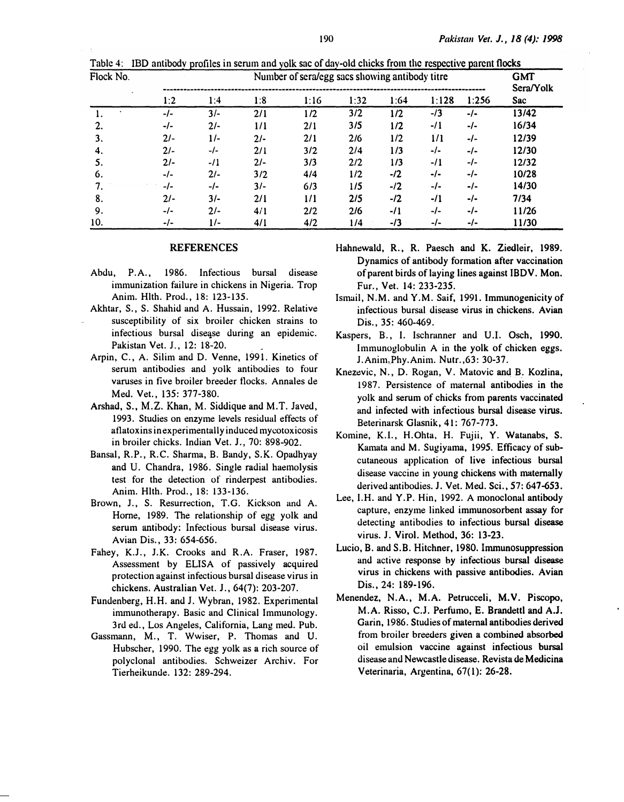| Flock No. | Number of sera/egg sacs showing antibody titre |        |       |      |      |       |        |        |                  |
|-----------|------------------------------------------------|--------|-------|------|------|-------|--------|--------|------------------|
|           | 1:2                                            | 1:4    | 1:8   | 1:16 | 1:32 | 1:64  | 1:128  | 1:256  | Sera/Yolk<br>Sac |
|           | $-I-$                                          | $3/-$  | 2/1   | 1/2  | 3/2  | 1/2   | $-13$  | $-I -$ | 13/42            |
| 2.        | -/-                                            | $2/-$  | 1/1   | 2/1  | 3/5  | 1/2   | $-11$  | $-I -$ | 16/34            |
| 3.        | $21-$                                          | $1/-$  | $2/-$ | 2/1  | 2/6  | 1/2   | 1/1    | $-I-$  | 12/39            |
| 4.        | $21 -$                                         | $-I -$ | 2/1   | 3/2  | 2/4  | 1/3   | $-I -$ | $-l-$  | 12/30            |
| 5.        | $2/-$                                          | $-11$  | $2/-$ | 3/3  | 2/2  | 1/3   | $-11$  | $-I-$  | 12/32            |
| 6.        | -/-                                            | $2/-$  | 3/2   | 4/4  | 1/2  | $-12$ | -/-    | $-I -$ | 10/28            |
| 7.        | -/-                                            | -/-    | $3/-$ | 6/3  | 1/5  | $-12$ | $-I -$ | $-I -$ | 14/30            |
| 8.        | $21 -$                                         | $3/-$  | 2/1   | 1/1  | 2/5  | $-12$ | $-11$  | $-I -$ | 7/34             |
| 9.        | $-/-$                                          | $2/-$  | 4/1   | 2/2  | 2/6  | $-11$ | -/-    | $-I -$ | 11/26            |
| 10.       | $-/-$                                          | $1/-$  | 4/1   | 4/2  | 1/4  | $-13$ | $-l-$  | $-/-$  | 11/30            |

Table 4: IBD antibodv profiles in serum and yolk sac of dav-old chicks from the respective parent flocks

#### **REFERENCES**

- Abdu, P.A., 1986. Infectious bursal disease immunization failure in chickens in Nigeria. Trop Anim. Hlth. Prod., 18: 123-135.
- Akhtar, S., S. Shahid and A. Hussain, 1992. Relative susceptibility of six broiler chicken strains to infectious bursal disease during an epidemic. Pakistan Vet. J., 12: 18-20.
- Arpin, C., A. Silim and D. Venne, 1991. Kinetics of serum antibodies and yolk antibodies to four varuses in five broiler breeder flocks. Annales de Med. Vet., 135: 377-380.
- Arshad, S., M.Z. Khan, M. Siddique and M.T. Javed, 1993. Studies on enzyme levels residual effects of aflatoxins in experimentally induced mycotoxicosis in broiler chicks. Indian Vet. J., 70: 898-902.
- Bansal, R. P., R.C. Sharma, B. Bandy, S.K. Opadhyay and U. Chandra, 1986. Single radial haemolysis test for the detection of rinderpest antibodies. Anim. Hlth. Prod., 18: 133-136.
- Brown, J., S. Resurrection, T.G. Kickson and A. Home, 1989. The relationship of egg yolk and serum antibody: Infectious bursal disease virus. Avian Dis., 33: 654-656.
- Fahey, K.J., J.K. Crooks and R.A. Fraser, 1987. Assessment by ELISA of passively acquired protection against infectious bursal disease virus in chickens. Australian Vet. J., 64(7): 203-207.
- Fundenberg, H.H. and J. Wybran, 1982. Experimental inununotherapy. Basic and Clinical Immunology. 3rd ed. , Los Angeles, California, Lang med. Pub.
- Gassmann, M., T. Wwiser, P. Thomas and U. Hubscher, 1990. The egg yolk as a rich source of polyclonal antibodies. Schweizer Archiv. For Tierheikunde. 132: 289-294.
- Hahnewald, R., R. Paesch and K. Ziedleir, 1989. Dynamics of antibody formation after vaccination of parent birds of laying lines against IBDV. Mon. Fur., Vet. 14: 233-235.
- Ismail, N.M. and Y.M. Saif, 1991. Immunogenicity of infectious bursal disease virus in chickens. Avian Dis., 35: 460-469.
- Kaspers, B., I. Ischranner and U.I. Osch, 1990. Immunoglobulin A in the yolk of chicken eggs. J. Anim'-Phy.Anim. Nutr.,63: 30-37.
- Knezevic, N., D. Rogan, V. Matovic and B. Kozlina, 1987. Persistence of maternal antibodies in the yolk and serum of chicks from parents vaccinated and infected with infectious bursal disease virus. Beterinarsk Glasnik, 41: 767-773.
- Komine, K.I., H.Ohta, H. Fujii, Y. Watanabs, S. Kamata and M. Sugiyama, 1995. Efficacy of subcutaneous application of live infectious bursal disease vaccine in young chickens with maternally derived antibodies. J. Vet. Med. Sci., 57: 647-653.
- Lee, I. H. and Y.P. Hin, 1992. A monoclonal antibody capture, enzyme linked immunosorbent assay for detecting antibodies to infectious bursal disease virus. J. Virol. Method, 36: 13-23.
- Lucio, B. and S.B. Hitchner, 1980. Immunosuppression and active response by infectious bursal disease virus in chickens with passive antibodies. Avian Dis., 24: 189-196.
- Menendez, N.A., M.A. Petrucceli, M.V. Piscopo, M.A. Risso, C.J. Perfumo, E. Brandettl and A.J. Garin, 1986. Studies of maternal antibodies derived from broiler breeders given a combined absorbed oil emulsion vaccine against infectious bursal disease and Newcastle disease. Revista de Medicina Veterinaria, Argentina, 67(1): 26-28.